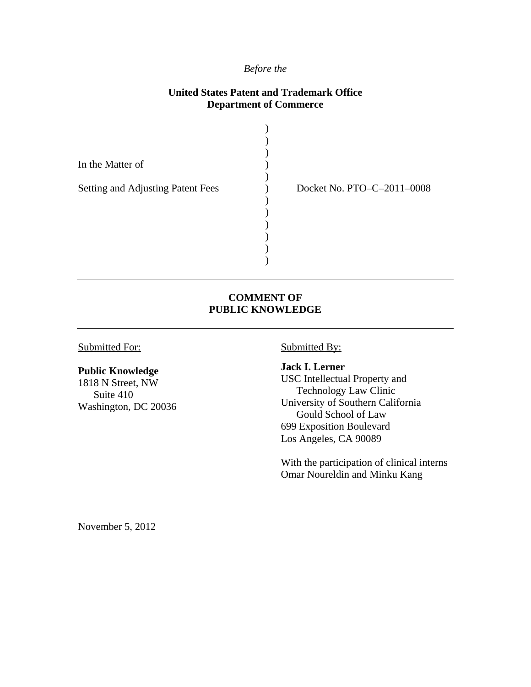#### *Before the*

#### **United States Patent and Trademark Office Department of Commerce**

| In the Matter of                  |                            |
|-----------------------------------|----------------------------|
| Setting and Adjusting Patent Fees | Docket No. PTO-C-2011-0008 |
|                                   |                            |
|                                   |                            |
|                                   |                            |

#### **COMMENT OF PUBLIC KNOWLEDGE**

Submitted For:

#### **Public Knowledge**

1818 N Street, NW Suite 410 Washington, DC 20036 Submitted By:

**Jack I. Lerner**  USC Intellectual Property and Technology Law Clinic University of Southern California Gould School of Law 699 Exposition Boulevard Los Angeles, CA 90089

With the participation of clinical interns Omar Noureldin and Minku Kang

November 5, 2012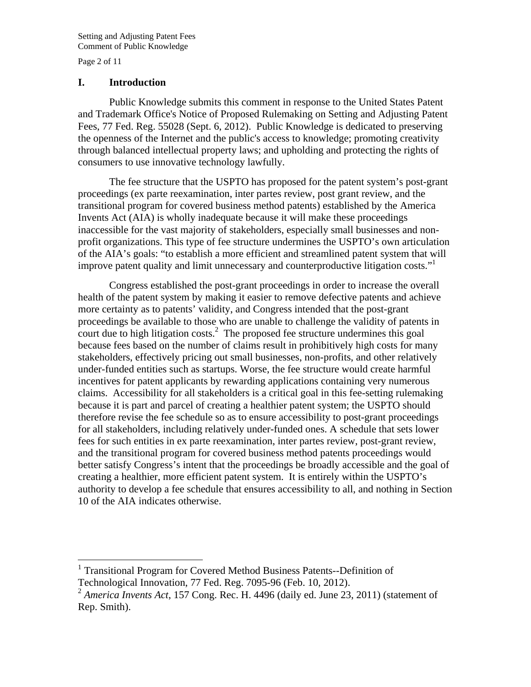Page 2 of 11

 $\overline{a}$ 

#### **I. Introduction**

Public Knowledge submits this comment in response to the United States Patent and Trademark Office's Notice of Proposed Rulemaking on Setting and Adjusting Patent Fees, 77 Fed. Reg. 55028 (Sept. 6, 2012). Public Knowledge is dedicated to preserving the openness of the Internet and the public's access to knowledge; promoting creativity through balanced intellectual property laws; and upholding and protecting the rights of consumers to use innovative technology lawfully.

The fee structure that the USPTO has proposed for the patent system's post-grant proceedings (ex parte reexamination, inter partes review, post grant review, and the transitional program for covered business method patents) established by the America Invents Act (AIA) is wholly inadequate because it will make these proceedings inaccessible for the vast majority of stakeholders, especially small businesses and nonprofit organizations. This type of fee structure undermines the USPTO's own articulation of the AIA's goals: "to establish a more efficient and streamlined patent system that will improve patent quality and limit unnecessary and counterproductive litigation costs."<sup>1</sup>

Congress established the post-grant proceedings in order to increase the overall health of the patent system by making it easier to remove defective patents and achieve more certainty as to patents' validity, and Congress intended that the post-grant proceedings be available to those who are unable to challenge the validity of patents in court due to high litigation costs.<sup>2</sup> The proposed fee structure undermines this goal because fees based on the number of claims result in prohibitively high costs for many stakeholders, effectively pricing out small businesses, non-profits, and other relatively under-funded entities such as startups. Worse, the fee structure would create harmful incentives for patent applicants by rewarding applications containing very numerous claims. Accessibility for all stakeholders is a critical goal in this fee-setting rulemaking because it is part and parcel of creating a healthier patent system; the USPTO should therefore revise the fee schedule so as to ensure accessibility to post-grant proceedings for all stakeholders, including relatively under-funded ones. A schedule that sets lower fees for such entities in ex parte reexamination, inter partes review, post-grant review, and the transitional program for covered business method patents proceedings would better satisfy Congress's intent that the proceedings be broadly accessible and the goal of creating a healthier, more efficient patent system. It is entirely within the USPTO's authority to develop a fee schedule that ensures accessibility to all, and nothing in Section 10 of the AIA indicates otherwise.

<sup>&</sup>lt;sup>1</sup> Transitional Program for Covered Method Business Patents--Definition of Technological Innovation, 77 Fed. Reg. 7095-96 (Feb. 10, 2012).

<sup>2</sup> *America Invents Act*, 157 Cong. Rec. H. 4496 (daily ed. June 23, 2011) (statement of Rep. Smith).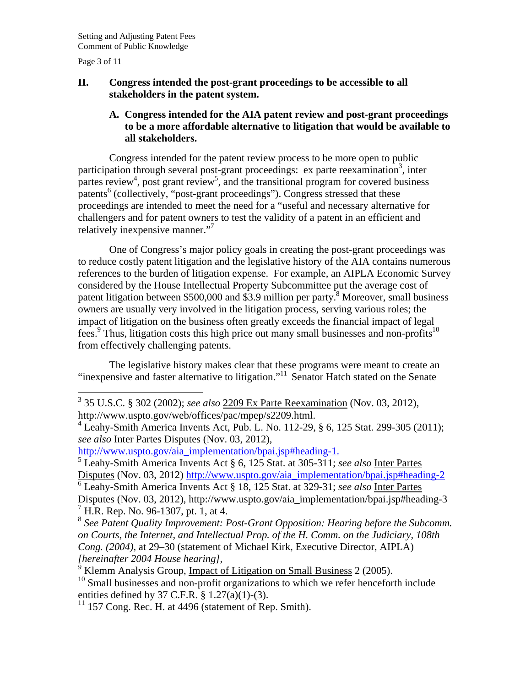Page 3 of 11

## **II. Congress intended the post-grant proceedings to be accessible to all stakeholders in the patent system.**

## **A. Congress intended for the AIA patent review and post-grant proceedings to be a more affordable alternative to litigation that would be available to all stakeholders.**

Congress intended for the patent review process to be more open to public participation through several post-grant proceedings: ex parte reexamination<sup>3</sup>, inter partes review<sup>4</sup>, post grant review<sup>5</sup>, and the transitional program for covered business  $\hat{p}$  (collectively, "post-grant proceedings"). Congress stressed that these proceedings are intended to meet the need for a "useful and necessary alternative for challengers and for patent owners to test the validity of a patent in an efficient and relatively inexpensive manner."<sup>7</sup>

One of Congress's major policy goals in creating the post-grant proceedings was to reduce costly patent litigation and the legislative history of the AIA contains numerous references to the burden of litigation expense. For example, an AIPLA Economic Survey considered by the House Intellectual Property Subcommittee put the average cost of patent litigation between \$500,000 and \$3.9 million per party.<sup>8</sup> Moreover, small business owners are usually very involved in the litigation process, serving various roles; the impact of litigation on the business often greatly exceeds the financial impact of legal fees.<sup>9</sup> Thus, litigation costs this high price out many small businesses and non-profits<sup>10</sup> from effectively challenging patents.

The legislative history makes clear that these programs were meant to create an "inexpensive and faster alternative to litigation."11 Senator Hatch stated on the Senate

http://www.uspto.gov/aia\_implementation/bpai.jsp#heading-1.

5 Leahy-Smith America Invents Act § 6, 125 Stat. at 305-311; *see also* Inter Partes Disputes (Nov. 03, 2012) http://www.uspto.gov/aia\_implementation/bpai.jsp#heading-2

6 Leahy-Smith America Invents Act § 18, 125 Stat. at 329-31; *see also* Inter Partes Disputes (Nov. 03, 2012), http://www.uspto.gov/aia\_implementation/bpai.jsp#heading-3<br> $\frac{7}{4}$ H B B an No 06, 1307, nt 1, et 4 H.R. Rep. No. 96-1307, pt. 1, at 4.

<sup>8</sup> *See Patent Quality Improvement: Post-Grant Opposition: Hearing before the Subcomm. on Courts, the Internet, and Intellectual Prop. of the H. Comm. on the Judiciary, 108th Cong. (2004)*, at 29–30 (statement of Michael Kirk, Executive Director, AIPLA) *[hereinafter 2004 House hearing],*

 $11$  157 Cong. Rec. H. at 4496 (statement of Rep. Smith).

 3 35 U.S.C. § 302 (2002); *see also* 2209 Ex Parte Reexamination (Nov. 03, 2012), http://www.uspto.gov/web/offices/pac/mpep/s2209.html.

<sup>4</sup> Leahy-Smith America Invents Act, Pub. L. No. 112-29, § 6, 125 Stat. 299-305 (2011); *see also* Inter Partes Disputes (Nov. 03, 2012),

*<sup>9</sup>* Klemm Analysis Group, Impact of Litigation on Small Business 2 (2005).

 $10$  Small businesses and non-profit organizations to which we refer henceforth include entities defined by 37 C.F.R. § 1.27(a)(1)-(3).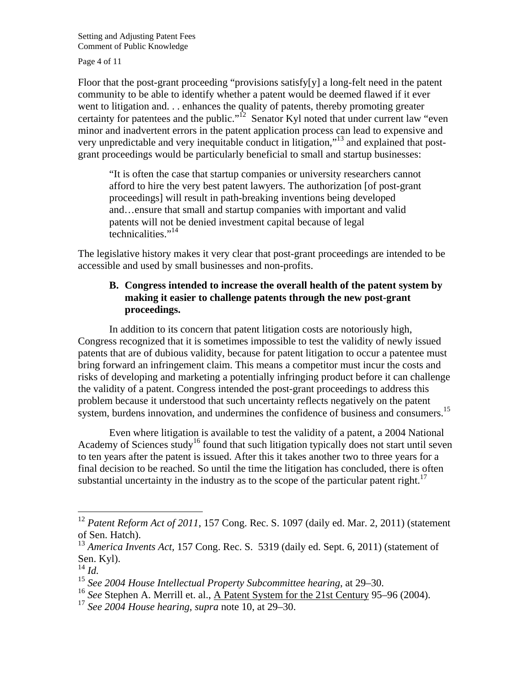Page 4 of 11

Floor that the post-grant proceeding "provisions satisfy[y] a long-felt need in the patent community to be able to identify whether a patent would be deemed flawed if it ever went to litigation and. . . enhances the quality of patents, thereby promoting greater certainty for patentees and the public."<sup>12</sup> Senator Kyl noted that under current law "even minor and inadvertent errors in the patent application process can lead to expensive and very unpredictable and very inequitable conduct in litigation,"13 and explained that postgrant proceedings would be particularly beneficial to small and startup businesses:

"It is often the case that startup companies or university researchers cannot afford to hire the very best patent lawyers. The authorization [of post-grant proceedings] will result in path-breaking inventions being developed and…ensure that small and startup companies with important and valid patents will not be denied investment capital because of legal technicalities."<sup>14</sup>

The legislative history makes it very clear that post-grant proceedings are intended to be accessible and used by small businesses and non-profits.

# **B. Congress intended to increase the overall health of the patent system by making it easier to challenge patents through the new post-grant proceedings.**

In addition to its concern that patent litigation costs are notoriously high, Congress recognized that it is sometimes impossible to test the validity of newly issued patents that are of dubious validity, because for patent litigation to occur a patentee must bring forward an infringement claim. This means a competitor must incur the costs and risks of developing and marketing a potentially infringing product before it can challenge the validity of a patent. Congress intended the post-grant proceedings to address this problem because it understood that such uncertainty reflects negatively on the patent system, burdens innovation, and undermines the confidence of business and consumers.<sup>15</sup>

Even where litigation is available to test the validity of a patent, a 2004 National Academy of Sciences study<sup>16</sup> found that such litigation typically does not start until seven to ten years after the patent is issued. After this it takes another two to three years for a final decision to be reached. So until the time the litigation has concluded, there is often substantial uncertainty in the industry as to the scope of the particular patent right.<sup>17</sup>

1

<sup>&</sup>lt;sup>12</sup> Patent Reform Act of 2011, 157 Cong. Rec. S. 1097 (daily ed. Mar. 2, 2011) (statement of Sen. Hatch).

<sup>&</sup>lt;sup>13</sup> *America Invents Act,* 157 Cong. Rec. S. 5319 (daily ed. Sept. 6, 2011) (statement of Sen. Kyl).

<sup>14</sup> *Id.*

<sup>15</sup> *See 2004 House Intellectual Property Subcommittee hearing*, at 29–30.

<sup>16</sup> *See* Stephen A. Merrill et. al., A Patent System for the 21st Century 95–96 (2004).

<sup>17</sup> *See 2004 House hearing*, *supra* note 10, at 29–30.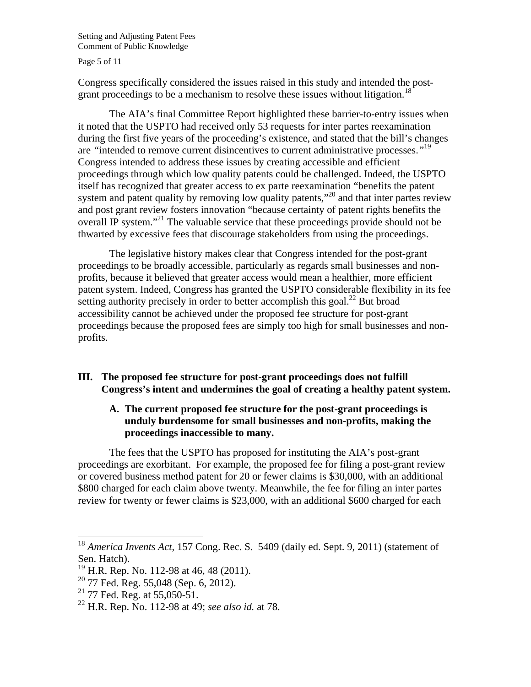Page 5 of 11

Congress specifically considered the issues raised in this study and intended the postgrant proceedings to be a mechanism to resolve these issues without litigation.<sup>18</sup>

The AIA's final Committee Report highlighted these barrier-to-entry issues when it noted that the USPTO had received only 53 requests for inter partes reexamination during the first five years of the proceeding's existence, and stated that the bill's changes are *"*intended to remove current disincentives to current administrative processes.*"*<sup>19</sup> Congress intended to address these issues by creating accessible and efficient proceedings through which low quality patents could be challenged. Indeed, the USPTO itself has recognized that greater access to ex parte reexamination "benefits the patent system and patent quality by removing low quality patents,"<sup>20</sup> and that inter partes review and post grant review fosters innovation "because certainty of patent rights benefits the overall IP system."<sup>21</sup> The valuable service that these proceedings provide should not be thwarted by excessive fees that discourage stakeholders from using the proceedings.

The legislative history makes clear that Congress intended for the post-grant proceedings to be broadly accessible, particularly as regards small businesses and nonprofits, because it believed that greater access would mean a healthier, more efficient patent system. Indeed, Congress has granted the USPTO considerable flexibility in its fee setting authority precisely in order to better accomplish this goal.<sup>22</sup> But broad accessibility cannot be achieved under the proposed fee structure for post-grant proceedings because the proposed fees are simply too high for small businesses and nonprofits.

## **III. The proposed fee structure for post-grant proceedings does not fulfill Congress's intent and undermines the goal of creating a healthy patent system.**

## **A. The current proposed fee structure for the post-grant proceedings is unduly burdensome for small businesses and non-profits, making the proceedings inaccessible to many.**

 The fees that the USPTO has proposed for instituting the AIA's post-grant proceedings are exorbitant. For example, the proposed fee for filing a post-grant review or covered business method patent for 20 or fewer claims is \$30,000, with an additional \$800 charged for each claim above twenty. Meanwhile, the fee for filing an inter partes review for twenty or fewer claims is \$23,000, with an additional \$600 charged for each

 $\overline{a}$ 

<sup>18</sup> *America Invents Act,* 157 Cong. Rec. S. 5409 (daily ed. Sept. 9, 2011) (statement of Sen. Hatch).

<sup>&</sup>lt;sup>19</sup> H.R. Rep. No. 112-98 at 46, 48 (2011).

<sup>20 77</sup> Fed. Reg. 55,048 (Sep. 6, 2012).

 $^{21}$  77 Fed. Reg. at 55,050-51.

<sup>22</sup> H.R. Rep. No. 112-98 at 49; *see also id.* at 78.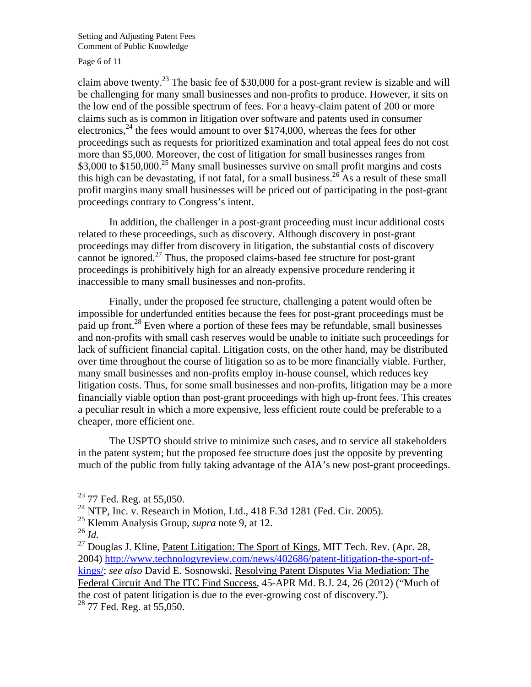Page 6 of 11

claim above twenty.<sup>23</sup> The basic fee of \$30,000 for a post-grant review is sizable and will be challenging for many small businesses and non-profits to produce. However, it sits on the low end of the possible spectrum of fees. For a heavy-claim patent of 200 or more claims such as is common in litigation over software and patents used in consumer electronics,<sup>24</sup> the fees would amount to over \$174,000, whereas the fees for other proceedings such as requests for prioritized examination and total appeal fees do not cost more than \$5,000. Moreover, the cost of litigation for small businesses ranges from \$3,000 to \$150,000.<sup>25</sup> Many small businesses survive on small profit margins and costs this high can be devastating, if not fatal, for a small business.<sup>26</sup> As a result of these small profit margins many small businesses will be priced out of participating in the post-grant proceedings contrary to Congress's intent.

 In addition, the challenger in a post-grant proceeding must incur additional costs related to these proceedings, such as discovery. Although discovery in post-grant proceedings may differ from discovery in litigation, the substantial costs of discovery cannot be ignored.<sup>27</sup> Thus, the proposed claims-based fee structure for post-grant proceedings is prohibitively high for an already expensive procedure rendering it inaccessible to many small businesses and non-profits.

 Finally, under the proposed fee structure, challenging a patent would often be impossible for underfunded entities because the fees for post-grant proceedings must be paid up front.<sup>28</sup> Even where a portion of these fees may be refundable, small businesses and non-profits with small cash reserves would be unable to initiate such proceedings for lack of sufficient financial capital. Litigation costs, on the other hand, may be distributed over time throughout the course of litigation so as to be more financially viable. Further, many small businesses and non-profits employ in-house counsel, which reduces key litigation costs. Thus, for some small businesses and non-profits, litigation may be a more financially viable option than post-grant proceedings with high up-front fees. This creates a peculiar result in which a more expensive, less efficient route could be preferable to a cheaper, more efficient one.

 The USPTO should strive to minimize such cases, and to service all stakeholders in the patent system; but the proposed fee structure does just the opposite by preventing much of the public from fully taking advantage of the AIA's new post-grant proceedings.

 $\overline{a}$ 

 $23$  77 Fed. Reg. at 55,050.

<sup>&</sup>lt;sup>24</sup> NTP, Inc. v. Research in Motion, Ltd., 418 F.3d 1281 (Fed. Cir. 2005).

<sup>25</sup> Klemm Analysis Group, *supra* note 9, at 12.

<sup>26</sup> *Id.*

 $^{27}$  Douglas J. Kline, Patent Litigation: The Sport of Kings, MIT Tech. Rev. (Apr. 28, 2004) http://www.technologyreview.com/news/402686/patent-litigation-the-sport-ofkings/; *see also* David E. Sosnowski, Resolving Patent Disputes Via Mediation: The Federal Circuit And The ITC Find Success, 45-APR Md. B.J. 24, 26 (2012) ("Much of the cost of patent litigation is due to the ever-growing cost of discovery.").  $28$  77 Fed. Reg. at 55,050.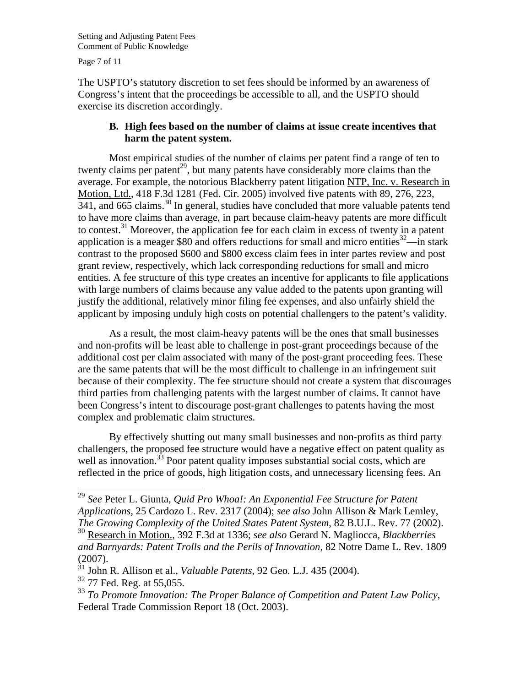Page 7 of 11

 $\overline{a}$ 

The USPTO's statutory discretion to set fees should be informed by an awareness of Congress's intent that the proceedings be accessible to all, and the USPTO should exercise its discretion accordingly.

## **B. High fees based on the number of claims at issue create incentives that harm the patent system.**

 Most empirical studies of the number of claims per patent find a range of ten to twenty claims per patent<sup>29</sup>, but many patents have considerably more claims than the average. For example, the notorious Blackberry patent litigation NTP, Inc. v. Research in Motion, Ltd., 418 F.3d 1281 (Fed. Cir. 2005) involved five patents with 89, 276, 223, 341, and 665 claims.30 In general, studies have concluded that more valuable patents tend to have more claims than average, in part because claim-heavy patents are more difficult to contest.<sup>31</sup> Moreover, the application fee for each claim in excess of twenty in a patent application is a meager \$80 and offers reductions for small and micro entities<sup>32</sup>—in stark contrast to the proposed \$600 and \$800 excess claim fees in inter partes review and post grant review, respectively, which lack corresponding reductions for small and micro entities. A fee structure of this type creates an incentive for applicants to file applications with large numbers of claims because any value added to the patents upon granting will justify the additional, relatively minor filing fee expenses, and also unfairly shield the applicant by imposing unduly high costs on potential challengers to the patent's validity.

 As a result, the most claim-heavy patents will be the ones that small businesses and non-profits will be least able to challenge in post-grant proceedings because of the additional cost per claim associated with many of the post-grant proceeding fees. These are the same patents that will be the most difficult to challenge in an infringement suit because of their complexity. The fee structure should not create a system that discourages third parties from challenging patents with the largest number of claims. It cannot have been Congress's intent to discourage post-grant challenges to patents having the most complex and problematic claim structures.

 By effectively shutting out many small businesses and non-profits as third party challengers, the proposed fee structure would have a negative effect on patent quality as well as innovation.<sup>33</sup> Poor patent quality imposes substantial social costs, which are reflected in the price of goods, high litigation costs, and unnecessary licensing fees. An

<sup>29</sup> *See* Peter L. Giunta, *Quid Pro Whoa!: An Exponential Fee Structure for Patent Applications*, 25 Cardozo L. Rev. 2317 (2004); *see also* John Allison & Mark Lemley, *The Growing Complexity of the United States Patent System*, 82 B.U.L. Rev. 77 (2002).

<sup>30</sup> Research in Motion., 392 F.3d at 1336; *see also* Gerard N. Magliocca, *Blackberries and Barnyards: Patent Trolls and the Perils of Innovation,* 82 Notre Dame L. Rev. 1809 (2007).

<sup>31</sup> John R. Allison et al., *Valuable Patents*, 92 Geo. L.J. 435 (2004). <sup>32</sup> 77 Fed. Reg. at 55,055.

<sup>33</sup> *To Promote Innovation: The Proper Balance of Competition and Patent Law Policy*, Federal Trade Commission Report 18 (Oct. 2003).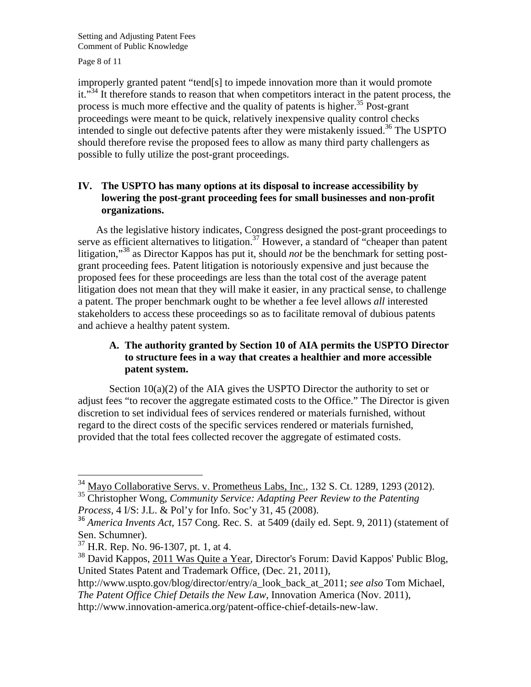Page 8 of 11

improperly granted patent "tend[s] to impede innovation more than it would promote it."<sup>34</sup> It therefore stands to reason that when competitors interact in the patent process, the process is much more effective and the quality of patents is higher.<sup>35</sup> Post-grant proceedings were meant to be quick, relatively inexpensive quality control checks intended to single out defective patents after they were mistakenly issued.<sup>36</sup> The USPTO should therefore revise the proposed fees to allow as many third party challengers as possible to fully utilize the post-grant proceedings.

# **IV. The USPTO has many options at its disposal to increase accessibility by lowering the post-grant proceeding fees for small businesses and non-profit organizations.**

As the legislative history indicates, Congress designed the post-grant proceedings to serve as efficient alternatives to litigation.<sup>37</sup> However, a standard of "cheaper than patent" litigation,"38 as Director Kappos has put it, should *not* be the benchmark for setting postgrant proceeding fees. Patent litigation is notoriously expensive and just because the proposed fees for these proceedings are less than the total cost of the average patent litigation does not mean that they will make it easier, in any practical sense, to challenge a patent. The proper benchmark ought to be whether a fee level allows *all* interested stakeholders to access these proceedings so as to facilitate removal of dubious patents and achieve a healthy patent system.

# **A. The authority granted by Section 10 of AIA permits the USPTO Director to structure fees in a way that creates a healthier and more accessible patent system.**

Section  $10(a)(2)$  of the AIA gives the USPTO Director the authority to set or adjust fees "to recover the aggregate estimated costs to the Office." The Director is given discretion to set individual fees of services rendered or materials furnished, without regard to the direct costs of the specific services rendered or materials furnished, provided that the total fees collected recover the aggregate of estimated costs.

 $\overline{a}$ 

http://www.uspto.gov/blog/director/entry/a\_look\_back\_at\_2011; *see also* Tom Michael,

 $34$  Mayo Collaborative Servs. v. Prometheus Labs, Inc., 132 S. Ct. 1289, 1293 (2012).

<sup>35</sup> Christopher Wong, *Community Service: Adapting Peer Review to the Patenting Process*, 4 I/S: J.L. & Pol'y for Info. Soc'y 31, 45 (2008).

<sup>36</sup> *America Invents Act,* 157 Cong. Rec. S. at 5409 (daily ed. Sept. 9, 2011) (statement of Sen. Schumner).

<sup>37</sup> H.R. Rep. No. 96-1307, pt. 1, at 4.

<sup>38</sup> David Kappos, 2011 Was Quite a Year, Director's Forum: David Kappos' Public Blog, United States Patent and Trademark Office, (Dec. 21, 2011),

*The Patent Office Chief Details the New Law*, Innovation America (Nov. 2011),

http://www.innovation-america.org/patent-office-chief-details-new-law.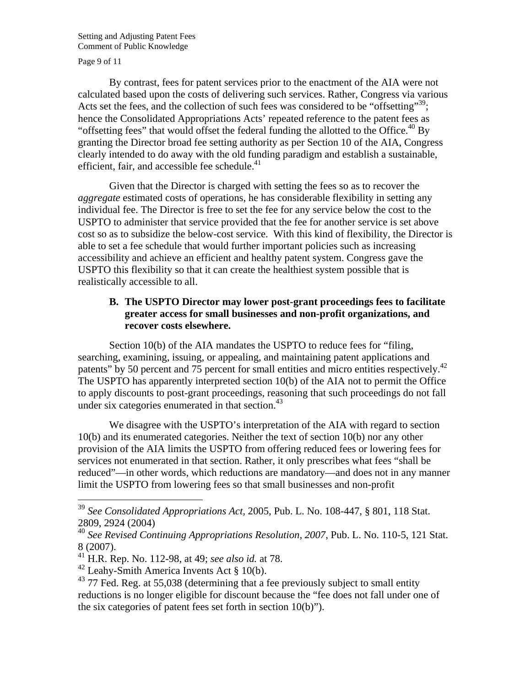Page 9 of 11

 $\overline{a}$ 

By contrast, fees for patent services prior to the enactment of the AIA were not calculated based upon the costs of delivering such services. Rather, Congress via various Acts set the fees, and the collection of such fees was considered to be "offsetting"<sup>39</sup>; hence the Consolidated Appropriations Acts' repeated reference to the patent fees as "offsetting fees" that would offset the federal funding the allotted to the Office.<sup>40</sup> By granting the Director broad fee setting authority as per Section 10 of the AIA, Congress clearly intended to do away with the old funding paradigm and establish a sustainable, efficient, fair, and accessible fee schedule.<sup>41</sup>

Given that the Director is charged with setting the fees so as to recover the *aggregate* estimated costs of operations, he has considerable flexibility in setting any individual fee. The Director is free to set the fee for any service below the cost to the USPTO to administer that service provided that the fee for another service is set above cost so as to subsidize the below-cost service. With this kind of flexibility, the Director is able to set a fee schedule that would further important policies such as increasing accessibility and achieve an efficient and healthy patent system. Congress gave the USPTO this flexibility so that it can create the healthiest system possible that is realistically accessible to all.

## **B. The USPTO Director may lower post-grant proceedings fees to facilitate greater access for small businesses and non-profit organizations, and recover costs elsewhere.**

Section 10(b) of the AIA mandates the USPTO to reduce fees for "filing, searching, examining, issuing, or appealing, and maintaining patent applications and patents" by 50 percent and 75 percent for small entities and micro entities respectively.<sup>42</sup> The USPTO has apparently interpreted section 10(b) of the AIA not to permit the Office to apply discounts to post-grant proceedings, reasoning that such proceedings do not fall under six categories enumerated in that section. $43$ 

 We disagree with the USPTO's interpretation of the AIA with regard to section 10(b) and its enumerated categories. Neither the text of section 10(b) nor any other provision of the AIA limits the USPTO from offering reduced fees or lowering fees for services not enumerated in that section. Rather, it only prescribes what fees "shall be reduced"—in other words, which reductions are mandatory—and does not in any manner limit the USPTO from lowering fees so that small businesses and non-profit

<sup>39</sup> *See Consolidated Appropriations Act,* 2005, Pub. L. No. 108-447, § 801, 118 Stat. 2809, 2924 (2004)

<sup>40</sup> *See Revised Continuing Appropriations Resolution, 2007*, Pub. L. No. 110-5, 121 Stat. 8 (2007).

<sup>41</sup> H.R. Rep. No. 112-98, at 49; *see also id.* at 78.

<sup>&</sup>lt;sup>42</sup> Leahy-Smith America Invents Act  $\S 10(b)$ .

 $43$  77 Fed. Reg. at 55,038 (determining that a fee previously subject to small entity reductions is no longer eligible for discount because the "fee does not fall under one of the six categories of patent fees set forth in section 10(b)").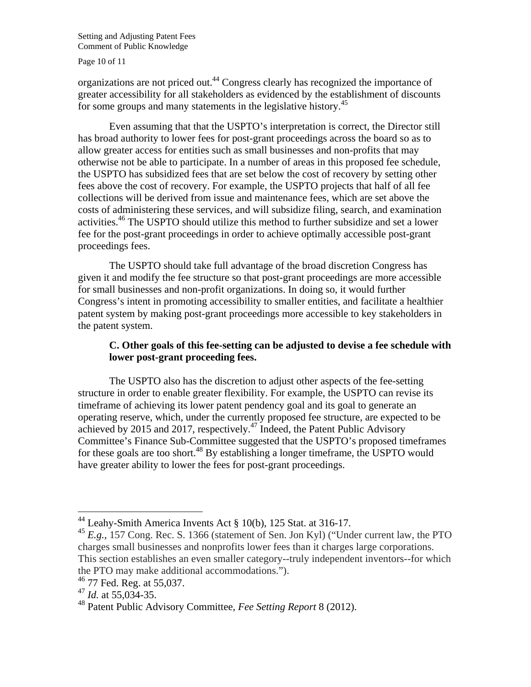Page 10 of 11

organizations are not priced out.44 Congress clearly has recognized the importance of greater accessibility for all stakeholders as evidenced by the establishment of discounts for some groups and many statements in the legislative history.<sup>45</sup>

 Even assuming that that the USPTO's interpretation is correct, the Director still has broad authority to lower fees for post-grant proceedings across the board so as to allow greater access for entities such as small businesses and non-profits that may otherwise not be able to participate. In a number of areas in this proposed fee schedule, the USPTO has subsidized fees that are set below the cost of recovery by setting other fees above the cost of recovery. For example, the USPTO projects that half of all fee collections will be derived from issue and maintenance fees, which are set above the costs of administering these services, and will subsidize filing, search, and examination activities.<sup>46</sup> The USPTO should utilize this method to further subsidize and set a lower fee for the post-grant proceedings in order to achieve optimally accessible post-grant proceedings fees.

 The USPTO should take full advantage of the broad discretion Congress has given it and modify the fee structure so that post-grant proceedings are more accessible for small businesses and non-profit organizations. In doing so, it would further Congress's intent in promoting accessibility to smaller entities, and facilitate a healthier patent system by making post-grant proceedings more accessible to key stakeholders in the patent system.

# **C. Other goals of this fee-setting can be adjusted to devise a fee schedule with lower post-grant proceeding fees.**

 The USPTO also has the discretion to adjust other aspects of the fee-setting structure in order to enable greater flexibility. For example, the USPTO can revise its timeframe of achieving its lower patent pendency goal and its goal to generate an operating reserve, which, under the currently proposed fee structure, are expected to be achieved by 2015 and 2017, respectively.<sup>47</sup> Indeed, the Patent Public Advisory Committee's Finance Sub-Committee suggested that the USPTO's proposed timeframes for these goals are too short.<sup>48</sup> By establishing a longer timeframe, the USPTO would have greater ability to lower the fees for post-grant proceedings.

 $\overline{a}$ 

 $44$  Leahy-Smith America Invents Act § 10(b), 125 Stat. at 316-17.

<sup>45</sup> *E.g.*, 157 Cong. Rec. S. 1366 (statement of Sen. Jon Kyl) ("Under current law, the PTO charges small businesses and nonprofits lower fees than it charges large corporations. This section establishes an even smaller category--truly independent inventors--for which the PTO may make additional accommodations.").

<sup>46 77</sup> Fed. Reg. at 55,037.

<sup>47</sup> *Id.* at 55,034-35.

<sup>48</sup> Patent Public Advisory Committee, *Fee Setting Report* 8 (2012).